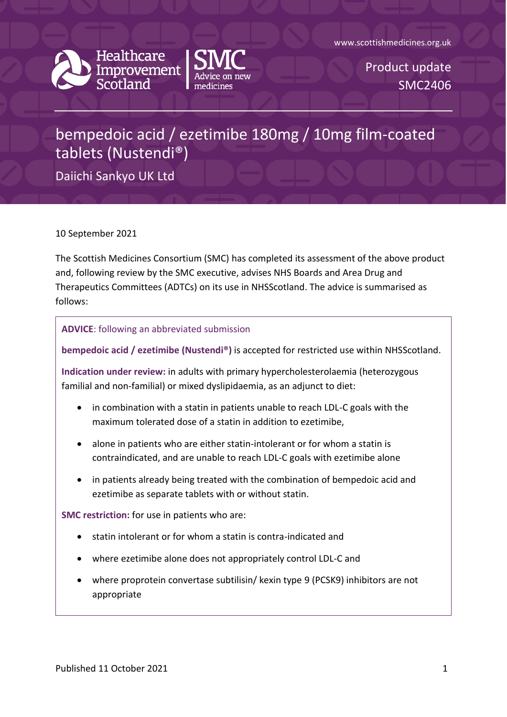





Product update SMC2406

## bempedoic acid / ezetimibe 180mg / 10mg film-coated tablets (Nustendi®)

Daiichi Sankyo UK Ltd

10 September 2021

The Scottish Medicines Consortium (SMC) has completed its assessment of the above product and, following review by the SMC executive, advises NHS Boards and Area Drug and Therapeutics Committees (ADTCs) on its use in NHSScotland. The advice is summarised as follows:

## **ADVICE**: following an abbreviated submission

**bempedoic acid / ezetimibe (Nustendi®)** is accepted for restricted use within NHSScotland.

**Indication under review:** in adults with primary hypercholesterolaemia (heterozygous familial and non-familial) or mixed dyslipidaemia, as an adjunct to diet:

- in combination with a statin in patients unable to reach LDL-C goals with the maximum tolerated dose of a statin in addition to ezetimibe,
- alone in patients who are either statin-intolerant or for whom a statin is contraindicated, and are unable to reach LDL-C goals with ezetimibe alone
- in patients already being treated with the combination of bempedoic acid and ezetimibe as separate tablets with or without statin.

**SMC restriction:** for use in patients who are:

- statin intolerant or for whom a statin is contra-indicated and
- where ezetimibe alone does not appropriately control LDL-C and
- where proprotein convertase subtilisin/ kexin type 9 (PCSK9) inhibitors are not appropriate